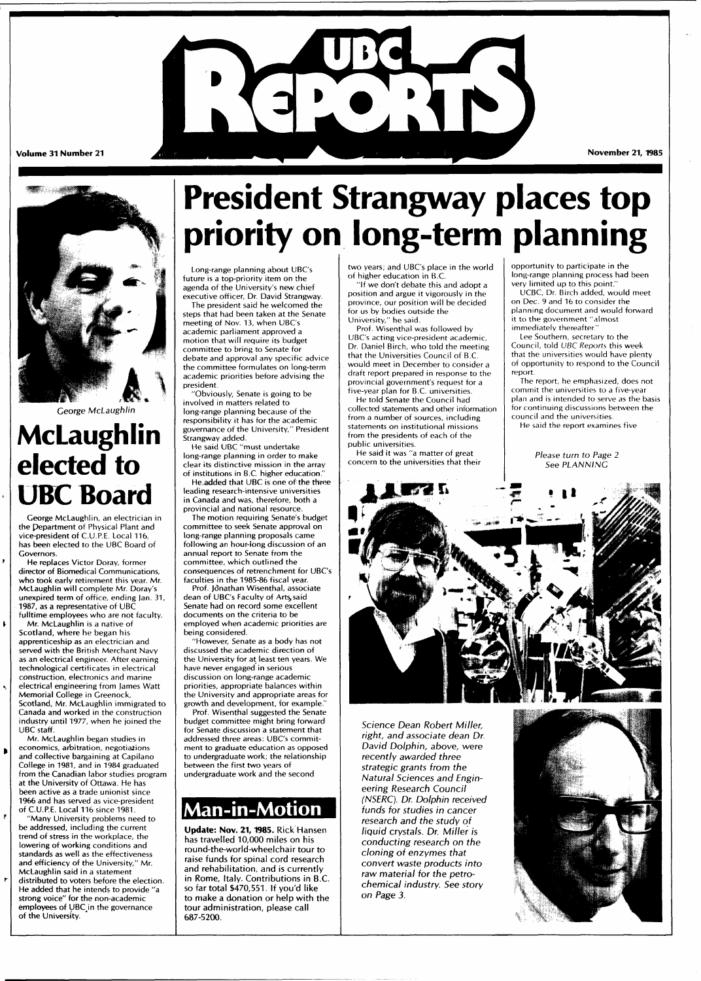



George McLaughlin

# **McLaughlin elected to UBC Board**

George McLaughlin, an electrician in the Pepartment of Physical Plant and vice-president of C.U.P.E. Local 116, has been elected to the UBC Board of Governors.

He replaces Victor Doray, former director of Biomedical Communications, who took early retirement this year. Mr. McLaughlin will complete Mr. Doray's unexpired term of office, ending Jan. 31, 1987, as a representative of UBC fulltime employees who are not faculty.

 $\pmb{\mathfrak{b}}$ 

 $\blacktriangleright$ 

 $\mathbf{r}$ 

ħ

Mr. McLaughlin is a native of Scotland, where he began his apprenticeship as an electrician and served with the British Merchant Navy as an electrical engineer. After earning technological certificates in electrical construction, electronics and marine electrical engineering from James Watt Memorial College in Greenock, Scotland, Mr. McLaughlin immigrated to Canada and worked in the construction industry until 1977, when he joined the UBC staff.

Mr. McLaughlin began studies in economics, arbitration, negotiations and collective bargaining at Capilano College in 1981, and in 1984 graduated from the Canadian labor studies program at the University of Ottawa. He has been active as a trade unionist since 1966 and has served as vice-president of C.U.P.E. Local 116 since 1981.

"Many University problems need to be addressed, including the current trend of stress in the workplace, the lowering of working conditions and standards as well as the effectiveness and efficiency of the University," Mr. McLaughlin said in a statement distributed to voters before the election. He added that he intends to provide "a strong voice" for the non-academic employees of UBC in the governance of the University.

# **President Strangway places top priority on long-term planning**

Long-range planning about UBC's future is a top-priority item on the agenda of the University's new chief executive officer, Dr. David Strangway.

The president said he welcomed the steps that had been taken at the Senate meeting of Nov. 13, when UBC's

academic parliament approved a motion that will require its budget committee to bring to Senate for debate and approval any specific advice the committee formulates on long-term academic priorities before advising the president.

"Obviously, Senate is going to be involved in matters related to long-range planning because of the responsibility it has for the academic governance of the University," President Strangway added.

He said UBC "must undertake long-range planning in order to make clear its distinctive mission in the array of institutions in B.C. higher education.

He added that UBC is one of the three leading research-intensive universities in Canada and was, therefore, both a provincial and national resource.

The motion requiring Senate's budget committee to seek Senate approval on long-range planning proposals came following an hour-long discussion of an annual report to Senate from the committee, which outlined the consequences of retrenchment for UBC's

faculties in the 1985-86 fiscal year. Prof. Jonathan Wisenthal, associate dean of UBC's Faculty of Arts, said Senate had on record some excellent documents on the criteria to be employed when academic priorities are being considered.

"However, Senate as a body has not discussed the academic direction of the University for at least ten years. We have never engaged in serious discussion on long-range academic priorities, appropriate balances within the University and appropriate areas for growth and development, for example." Prof. Wisenthal suggested the Senate budget committee might bring forward for Senate discussion a statement that addressed three areas: UBC's commitment to graduate education as opposed to undergraduate work; the relationship between the first two years of undergraduate work and the second

# **Man-in-Motion**

Update: Nov. 21, 1985. Rick Hansen has travelled 10,000 miles on his round-the-world-wheelchair tour to raise funds for spinal cord research and rehabilitation, and is currently in Rome, Italy. Contributions in B.C. so far total \$470,551. If you'd like to make a donation or help with the tour administration, please call 687-5200.

two years; and UBC's place in the world of higher education in B.C.

"If we don't debate this and adopt a position and argue it vigorously in the province, our position will be decided for us by bodies outside the University," he said.

Prof. Wisenthal was followed by UBC's acting vice-president academic, Dr. Daniel Birch, who told the meeting that the Universities Council of B.C. would meet in December to consider a draft report prepared in response to the provincial government's request for a five-year plan for B.C. universities.

He told Senate the Council had collected statements and other information from a number of sources, including statements on institutional missions from the presidents of each of the public universities.

He said it was "a matter of great concern to the universities that their

opportunity to participate in the long-range planning process had been very limited up to this point."

UCBC, Dr. Birch added, would meet on Dec. 9 and 16 to consider the planning document and would forward it to the government "almost immediately thereafter."

Lee Southern, secretary to the Council, told UBC Reports this week that the universities would have plenty of opportunity to respond to the Council report.

The report, he emphasized, does not commit the universities to a five-year plan and is intended to serve as the basis for continuing discussions between the council and the universities.

He said the report examines five

Please turn to Page 2 See PLANNING



Science Dean Robert Miller, right, and associate dean Dr. David Dolphin, above, were recently awarded three strategic grants from the Natural Sciences and Engineering Research Council (NSERC). Dr. Dolphin received funds for studies in cancer research and the study of liquid crystals. Dr. Miller is conducting research on the cloning of enzymes that convert waste products into raw material for the petrochemical industry. See story on Page 3.

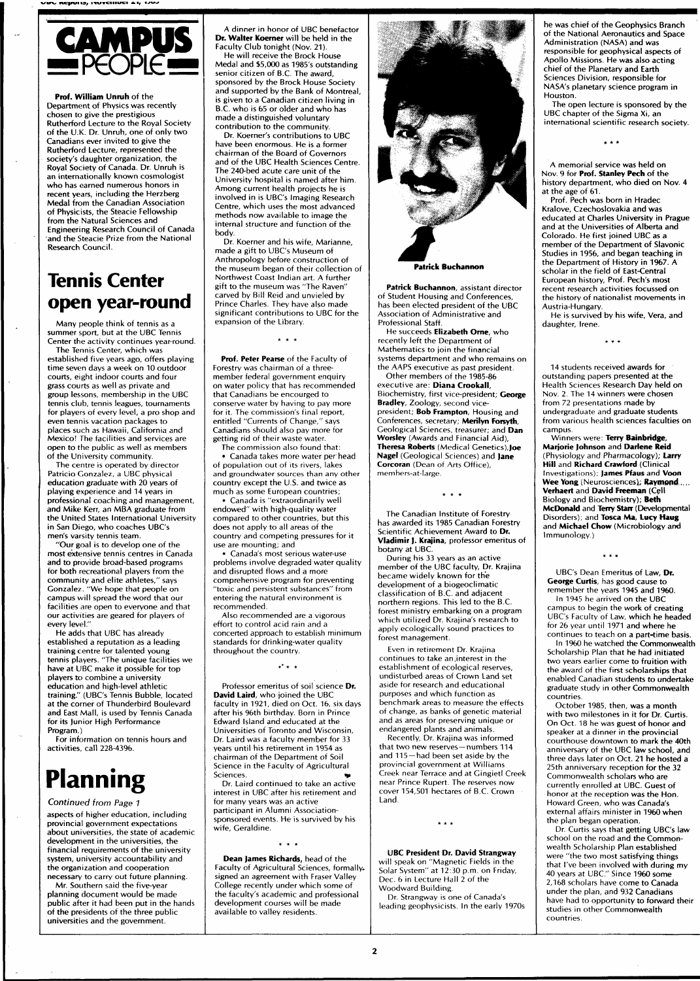

**Prof. William Unruh** of the Department of Physics was recently chosen to give the prestigious Rutherford Lecture to the Royal Society of the U.K. Dr. Unruh, one of only two Canadians ever invited to give the Rutherford Lecture, represented the society's daughter organization, the Royal Society of Canada. Dr. Unruh is an internationally known cosmologist who has earned numerous honors in recent years, including the Herzberg Medal from the Canadian Association of Physicists, the Steacie Fellowship from the Natural Sciences and Engineering Research Council of Canada and the Steacie Prize from the National Research Council.

# **Tennis Center open year-round**

Many people think of tennis as a summer sport, but at the UBC Tennis Center the activity continues year-round.

The Tennis Center, which was established five years ago, offers playing time seven days a week on 10 outdoor courts, eight indoor courts and four grass courts as well as private and group lessons, membership in the UBC tennis club, tennis leagues, tournaments for players of every level, a pro shop and even tennis vacation packages to places such as Hawaii, California and Mexico! The facilities and services are open to the public as well as members of the University community.

The centre is operated by director Patricio Gonzalez, a UBC physical education graduate with 20 years of playing experience and 14 years in professional coaching and management, and Mike Kerr, an MBA graduate from the United States International University in San Diego, who coaches UBC's men's varsity tennis team,

"Our goal is to develop one of the most extensive tennis centres in Canada and to provide broad-based programs for both recreational players from the community and elite athletes," says Gonzalez. "We hope that people on campus will spread the word that our facilities are open to everyone and that our activities are geared for players of every level."

He adds that UBC has already established a reputation as a leading training centre for talented young tennis players. "The unique facilities we have at UBC make it possible for top players to combine a university education and high-level athletic training." (UBC's Tennis Bubble, located at the corner of Thunderbird Boulevard and East Mall, is used by Tennis Canada for its Junior High Performance Program.)

For information on tennis hours and activities, call 228-4396.

# **Planning**

Continued from Page 1 aspects of higher education, including provincial government expectations about universities, the state of academic development in the universities, the financial requirements of the university system, university accountability and the organization and cooperation

necessary to carry out future planning. Mr. Southern said the five-year planning document would be made public after it had been put in the hands of the presidents of the three public universities and the government.

A dinner in honor of UBC benefactor **Dr. Walter Koerner** will be held in the Faculty Club tonight (Nov. 21).

He will receive the Brock House Medal and \$5,000 as 1985's outstanding senior citizen of B.C. The award, sponsored by the Brock House Society and supported by the Bank of Montreal, is given to a Canadian citizen living in B.C. who is 65 or older and who has made a distinguished voluntary contribution to the community.

Dr. Koerner's contributions to UBC have been enormous. He is a former chairman of the Board of Governors and of the UBC Health Sciences Centre. The 240-bed acute care unit of the University hospital is named after him. Among current health projects he is involved in is UBC's Imaging Research Centre, which uses the most advanced methods now available to image the internal structure and function of the body.

Dr. Koerner and his wife, Marianne, made a gift to UBC's Museum of Anthropology before construction of the museum began of their collection of Northwest Coast Indian art. A further gift to the museum was "The Raven" carved by Bill Reid and unvieled by Prince Charles. They have also made significant contributions to UBC for the expansion of the Library.

**Prof. Peter Pearse** of the Faculty of Forestry was chairman of a threemember federal government enquiry on water policy that has recommended that Canadians be encourged to conserve water by having to pay more for it. The commission's final report, entitled "Currents of Change," says Canadians should also pay more for getting rid of their waste water.

The commission also found that: • Canada takes more water per head of population out of its rivers, lakes and groundwater sources than any other country except the U.S. and twice as much as some European countries;

• Canada is "extraordinarily well endowed" with high-quality water compared to other countries, but this does not apply to all areas of the country and competing pressures for it use are mounting; and

• Canada's most serious water-use problems involve degraded water quality and disrupted flows and a more comprehensive program for preventing "toxic and persistent substances" from entering the natural environment is recommended.

Also recommended are a vigorous effort to control acid rain and a concerted approach to establish minimum standards for drinking-water quality throughout the country.

 $x^2 + y$ 

Professor emeritus of soil science **Dr. David Laird,** who joined the UBC faculty in 1921, died on Oct. 16, six days after his 96th birthday. Born in Prince Edward Island and educated at the Universities of Toronto and Wisconsin, Dr. Laird was a faculty member for 33 years until his retirement in 1954 as chairman of the Department of Soil Science in the Faculty of Agricultural Sciences.

Dr. Laird continued to take an active interest in UBC after his retirement and for many years was an active participant in Alumni Associationsponsored events. He is survived by his wife, Geraldine.

 $\star$   $\star$   $\star$ 

**Dean James Richards,** head of the Faculty of Agricultural Sciences, formally, signed an agreement with Fraser Valley College recently under which some of the faculty's academic and professional development courses will be made available to valley residents.



**Patrick Buchannon** 

**Patrick Buchannon,** assistant director of Student Housing and Conferences, has been elected president of the UBC Association of Administrative and Professional Staff.

He succeeds **Elizabeth Orne,** who recently left the Department of Mathematics to join the financial systems department and who remains on the AAPS executive as past president.

Other members of the 1985-86 executive are: **Diana Crookall,**  Biochemistry, first vice-president; **George Bradley,** Zoology, second vicepresident; **Bob Frampton,** Housing and Conferences, secretary; **Merilyn Forsyth,**  Geological Sciences, treasurer; and **Dan Worsley** (Awards and Financial Aid), **Theresa Roberts** (Medical Genetics),**Joe Nagel** (Geological Sciences) and **Jane Corcoran** (Dean of Arts Office), members-at-large.

The Canadian Institute of Forestry has awarded its 1985 Canadian Forestry Scientific Achievement Award to **Dr. Vladimir J. Krajina,** professor emeritus of botany at UBC.

During his 33 years as an active member of the UBC faculty, Dr. Krajina became widely known for the development of a biogeoclimatic classification of B.C. and adjacent northern regions. This led to the B.C. forest ministry embarking on a program which utilized Dr. Krajina's research to apply ecologically sound practices to forest management.

Even in retirement Dr. Krajina continues to take an.interest in the establishment of ecological reserves, undisturbed areas of Crown Land set aside for research and educational purposes and which function as benchmark areas to measure the effects of change, as banks of genetic material and as areas for preserving unique or endangered plants and animals.

Recently, Dr. Krajina was informed that two new reserves —numbers 114 and 115 —had been set aside by the provincial government at Williams Creek near Terrace and at Gingietl Creek near Prince Rupert. The reserves now cover 154,501 hectares of B.C. Crown Land.

# $***$

**UBC President Dr. David Strangway**  will speak on "Magnetic Fields in the Solar System" at 12:30 p.m. on Friday, Dec. 6 in Lecture Hall 2 of the Woodward Building.

Dr. Strangway is one of Canada's leading geophysicists. In the early 1970s he was chief of the Geophysics Branch of the National Aeronautics and Space Administration (NASA) and was responsible for geophysical aspects of Apollo Missions. He was also acting chief of the Planetary and Earth Sciences Division, responsible for NASA's planetary science program in Houston.

The open lecture is sponsored by the UBC chapter of the Sigma Xi, an international scientific research society.

 $\star \star \star$ 

A memorial service was held on Nov. 9 for **Prof. Stanley Pech** of the history department, who died on Nov. 4

at the age of 61. Prof. Pech was born in Hradec Kralove, Czechoslovakia and was educated at Charles University in Prague and at the Universities of Alberta and Colorado. He first joined UBC as a member of the Department of Slavonic Studies in 1956, and began teaching in the Department of History in 1967. A scholar in the field of East-Central European history, Prof. Pech's most recent research activities focussed on the history of nationalist movements in Austria-Hungary.

He is survived by his wife, Vera, and daughter, Irene.

14 students received awards for outstanding papers presented at the Health Sciences Research Day held on Nov. 2. The 14 winners were chosen from 72 presentations made by undergraduate and graduate students from various health sciences faculties on campus.

Winners were: **Terry Bainbridge, Marjorie Johnson** and **Darlene Reid**  (Physiology and Pharmacology); **Larry Hill** and **Richard Crawford** (Clinical Investigations); **James Pfaus** and **Voon Wee Yong** (Neurosciences), **Raymond, .. Verhaert** and **David Freeman** (Cell Biology and Biochemistry); **Beth McDonald** and **Terry Starr** (Developmental Disorders); and **Tosca Ma, Lucy Haug**  and **Michael Chow** (Microbiology and Immunology.)

# $* * *$

UBC's Dean Emeritus of Law, **Dr. George Curtis,** has good cause to remember the years 1945 and 1960.

In 1945 he arrived on the UBC campus to begin the work of creating UBC's Faculty of Law, which he headed for 26 year until 1971 and where he

continues to teach on a part-time basis. In 1960 he watched the Commonwealth Scholarship Plan that he had initiated two years earlier come to fruition with the award of the first scholarships that enabled Canadian students to undertake graduate study in other Commonwealth countries.

October 1985, then, was a month with two milestones in it for Dr. Curtis. On Oct. 18 he was guest of honor and speaker at a dinner in the provincial courthouse downtown to mark the 40th anniversary of the UBC law school, and three days later on Oct. 21 he hosted a 25th anniversary reception for the 32 Commonwealth scholars who are currently enrolled at UBC. Guest of honor at the reception was the Hon. Howard Green, who was Canada's external affairs minister in 1960 when the plan began operation.

Dr. Curtis says that getting UBC's law school on the road and the Commonwealth Scholarship Plan established were "the two most satisfying things that I've been involved with during my 40 years at UBC." Since 1960 some 2,168 scholars have come to Canada under the plan, and 932 Canadians have had to opportunity to forward their studies in other Commonwealth countries.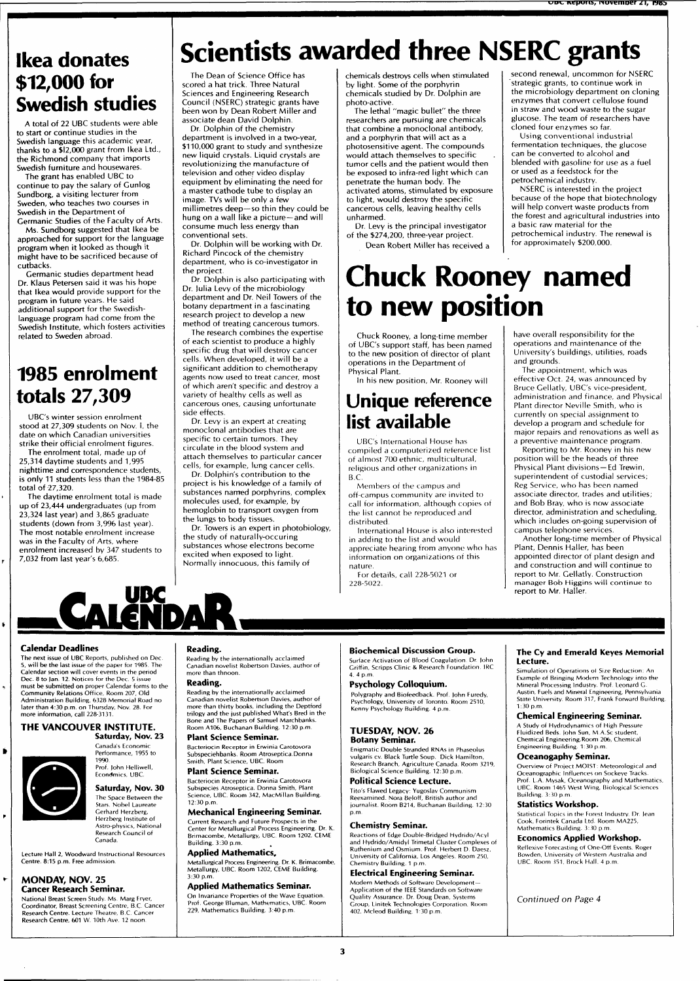# **Scientists awarded three NSERC grants**

**Ikea donates \$12,000 for Swedish studies** 

A total of 22 UBC students were able to start or continue studies in the Swedish language this academic year, thanks to a \$12,000 grant from Ikea Ltd., the Richmond company that imports Swedish furniture and housewares.

The grant has enabled UBC to continue to pay the salary of Gunlog Sundborg, a visiting lecturer from Sweden, who teaches two courses in Swedish in the Department of Germanic Studies of the Faculty of Arts.

Ms. Sundborg suggested that Ikea be approached for support for the language program when it looked as though it might have to be sacrificed because of cutbacks.

Germanic studies department head Dr. Klaus Petersen said it was his hope that Ikea would provide support for the program in future years. He said additional support for the Swedishlanguage program had come from the Swedish Institute, which fosters activities related to Sweden abroad.

# **1985 enrolment totals 27,309**

UBC's winter session enrolment stood at 27,309 students on Nov. I, the date on which Canadian universities strike their official enrolment figures.

The enrolment total, made up of 25,314 daytime students and 1,995 nighttime and correspondence students, is only 11 students less than the 1984-85 total of 27,320.

The daytime enrolment total is made up of 23,444 undergraduates (up from 23,324 last year) and 3,865 graduate students (down from 3,996 last year). The most notable enrolment increase was in the Faculty of Arts, where enrolment increased by 347 students to 7,032 from last year's 6,685.

The Dean of Science Office has scored a hat trick. Three Natural Sciences and Engineering Research Council (NSERC) strategic grants have been won by Dean Robert Miller and associate dean David Dolphin.

Dr. Dolphin of the chemistry department is involved in a two-year, \$110,000 grant to study and synthesize new liquid crystals. Liquid crystals are revolutionizing the manufacture of television and other video display equipment by eliminating the need for a master cathode tube to display an image. TVs will be only a few millimetres deep—so thin they could be hung on a wall like a picture—and will consume much less energy than conventional sets.

Dr. Dolphin will be working with Dr. Richard Pincock of the chemistry department, who is co-investigator in the project.

Dr. Dolphin is also participating with Dr. Julia Levy of the microbiology department and Dr. Neil Towers of the botany department in a fascinating research project to develop a new method of treating cancerous tumors.

The research combines the expertise of each scientist to produce a highly specific drug that will destroy cancer cells. When developed, it will be a significant addition to chemotherapy agents now used to treat cancer, most of which aren't specific and destroy a variety of healthy cells as well as cancerous ones, causing unfortunate side effects.

Dr. Levy is an expert at creating monoclonal antibodies that are specific to certain tumors. They circulate in the blood system and attach themselves to particular cancer cells, for example, lung cancer cells. Dr. Dolphin's contribution to the

project is his knowledge of a family of substances named porphyrins, complex molecules used, for example, by

hemoglobin to transport oxygen from the lungs to body tissues. Dr. Towers is an expert in photobiology, the study of naturally-occuring substances whose electrons become excited when exposed to light.

Normally innocuous, this family of

chemicals destroys cells when stimulated by light. Some of the porphyrin chemicals studied by Dr. Dolphin are photo-active.

The lethal "magic bullet" the three researchers are pursuing are chemicals that combine a monoclonal antibody, and a porphyrin that will act as a photosensitive agent. The compounds would attach themselves to specific tumor cells and the patient would then be exposed to infra-red light which can penetrate the human body. The activated atoms, stimulated by exposure to light, would destroy the specific cancerous cells, leaving healthy cells unharmed.

Dr. Levy is the principal investigator of the \$274,200, three-year project. Dean Robert Miller has received a

**Chuck Rooney named to new position** 

Chuck Rooney, a long-time member of UBC's support staff, has been named to the new position of director of plant operations in the Department of Physical Plant.

In his new position, Mr. Rooney will

# **Unique reference list available**

UBC's International House has compiled a computerized reference list of almost 700 ethnic, multicultural, religious and other organizations in B.C.

Members of the campus and off-campus community are invited to call for information, although copies of the list cannot be reproduced and distributed.

International House is also interested in adding to the list and would appreciate hearing from anyone who has information on organizations of this nature.

For details, call 228-5021 or 228-5022.

have overall responsibility for the operations and maintenance of the University's buildings, utilities, roads

**uuv. ivepuns, iiuvemner i\, nvb** 

second renewal, uncommon for NSERC strategic grants, to continue work in the microbiology department on cloning enzymes that convert cellulose found in straw and wood waste to the sugar glucose. The team of researchers have

cloned four enzymes so far. Using conventional industrial fermentation techniques, the glucose can be converted to alcohol and blended with gasoline for use as a fuel

or used as a feedstock for the petrochemical industry.

a basic raw material for the

for approximately \$200,000.

NSERC is interested in the project because of the hope that biotechnology will help convert waste products from the forest and agricultural industries into

petrochemical industry. The renewal is

and grounds. The appointment, which was effective Oct. 24, was announced by Bruce Gellatly, UBC's vice-president, administration and finance, and Physical Plant director Neville Smith, who is currently on special assignment to develop a program and schedule for major repairs and renovations as well as a preventive maintenance program.

Reporting to Mr. Rooney in his new position will be the heads of three Physical Plant divisions - Ed Trewin, superintendent of custodial services; Reg Service, who has been named associate director, trades and utilities; and Bob Bray, who is now associate director, administration and scheduling, which includes on-going supervision of campus telephone services.

Another long-time member of Physical Plant, Dennis Haller, has been appointed director of plant design and and construction and will continue to report to Mr. Gellatly. Construction manager Bob Higgins will continue to report to Mr. Haller.

# Calendar Deadlines

The next issue of UBC Reports, published on Dec , will be the last issue of the paper for 1985. The Calendar section wil l cover events in the period Dec. 8 to Jan. 12. Notices for the Dec. 5 issue must be submitted on proper Calendar forms to the Community Relations Office, Room 207, Old Administration Building. 6328 Memorial Road no later than 4:30 p.m. on Thursday, Nov. 28. For more information, call 228-3131.

# **THE VANCOUVER INSTITUTE.**

**Saturday, Nov. 23**  Canada's Economic Performance, 1955 to 1990 Prof. John Helliwell, Econdmics, UBC.

Saturday, Nov. 30 The Space Between the Stars. Nobel Laureate Gerhard Herzberg, Herzberg Institute of Astro-physics, National Research Council of

Lecture Hall 2, Woodward Instructional Resources Centre. 8:15 p.m. Free admission

Canada.

# **MONDAY, NOV.** 25

Cancer Research Seminar. National Breast Screen Study. Ms. Marg Fryer, Coordinator, Breast Screening Centre, B.C. Cancer Research Centre. Lecture Theatre, B.C. Cancer Research Centre, 601 W. 10th Ave. 12 noon.

# Reading.

**DA** 

**UDC** 

Reading by the internationally acclaimed Canadian novelist Robertson Davies, author of more than thnoon.

# Reading.

Reading by the internationally acclaimed Canadian novelist Robertson Davies, author of more than thirty books, including the Deptford trilogy and the just published What's Bred in the Bone and The Papers of Samuel Marchbanks. Room A106, Buchanan Building. 12:30 p.m.

Plant Science Seminar. Bacteriocin Receptor in Erwinia Carotovora Subspeciehbanks. Room Atroseptica. Donna

#### Smith, Plant Science, UBC. Room Plant Science Seminar.

Bacteriocin Receptor in Erwinia Carotovora Subspecies Atroseptica. Donna Smith, Plant<br>Science, UBC. Room 342, MacMillan Building. 12:30 p.m. Mechanical Engineering Seminar.

#### Current Research and Future Prospects in the Center for Metallurgical Process Engineering. Dr. K. Brimacombe, Metallurgy, UBC. Room 1202, CEME Building. 3:30 p.m.

Applied Mathematics, Metallurgical Process Engineering. Dr. K. Brimacombe, Metallurgy, UBC. Room 1202, CEME Building. 3:30 p.m.

# Applied Mathematics Seminar.

On Invariance Properties of the Wave Equation. Prof. George Bluman, Mathematics, UBC. Room 229, Mathematics Building. 3:40 p.m.

# **Biochemical Discussion Group.**

Surface Activation of Blood Coagulation Dr lohn Griffin, Scripps Clinic & Research Foundation. IRC 4. 4 p.m.

Psychology Colloquium. Polygraphy and Biofeedback. Prof, lohn Furedy, Psychology, University of Toronto. Room 2510, Kenny Psychology Building. 4 p.m.

# **TUESDAY, NOV.** 26

Botany Seminar. Enigmatic Double Stranded RNAs in Phaseolus vulgaris cv. Black Turtle Soup. Dick Hamilton,<br>Research Branch, Agriculture Canada. Room 3219,<br>Biological Science Building. 12:30 p.m.

# Political Science Lecture.

Tito's Flawed Legacy: Yugoslav Communism xamined. Nora Beloff, British auth journalist. Room B214, Buchanan Building. 12:30 p.m.

# Chemistry Seminar.

Reactions of Edge Double-Bridged Hydrido/Acyl and Hydrido/Amidyl Trimetal Cluster Complexes of Ruthenium and Osmium. Prof. Herbert D. Daesz, University of California, Los Angeles. Room 250, Chemistry Building. 1 p.m.

#### Electrical Engineering Seminar. Modern Methods of Software Development -

Application of the IEEE Standards on Software Quality Assurance. Dr. Doug Dean, Systems Group, Linitek Technologies Corporation. Room 402, Mcleod Building 1 30 p.m.

## **The Cy and Emerald Keyes Memorial Lecture.**

Simulation of Operations ol Size Reduction: An Example of Bringing Modern Technology into the Mineral Processing Industry. Prof. Leonard G. Austin, Fuels and Mineral Engineering, Pennsylvania State University. Room 317, Frank Forward Building. 1:30 p.m

# Chemical Engineering Seminar.

A Study of Hydrodynamics of High Pressure Fluidized Beds. John Sun, M.A.Sc student, Chemical Engineering.Room 206, Chemical Engineering Building. 1:30 p.m.

# Oceanogaphy Seminar.

Overview of Project MOIST: Meteorological and Oceanographic Influences on Sockeye Tracks. Prof. L.A. Mysak, Oceanography and Mathematics, UBC. Room 1465 West Wing, Biological Sciences Building. 3:30 p.m.

### Statistics Workshop.

Statistical Topics in the Forest Industry. Dr. lean Cook, Forintek Canada Ltd. Room MA225, Mathematics Building. 3:30 p.m.

# Economics Applied Workshop. Reflexive Forecasting of One-Off Events. Roger

Bowden, University of Western Australia and UBC. Room 351, Brock Hall. 4 p.m.

### Continued on Page 4

₿

 $\blacktriangleright$